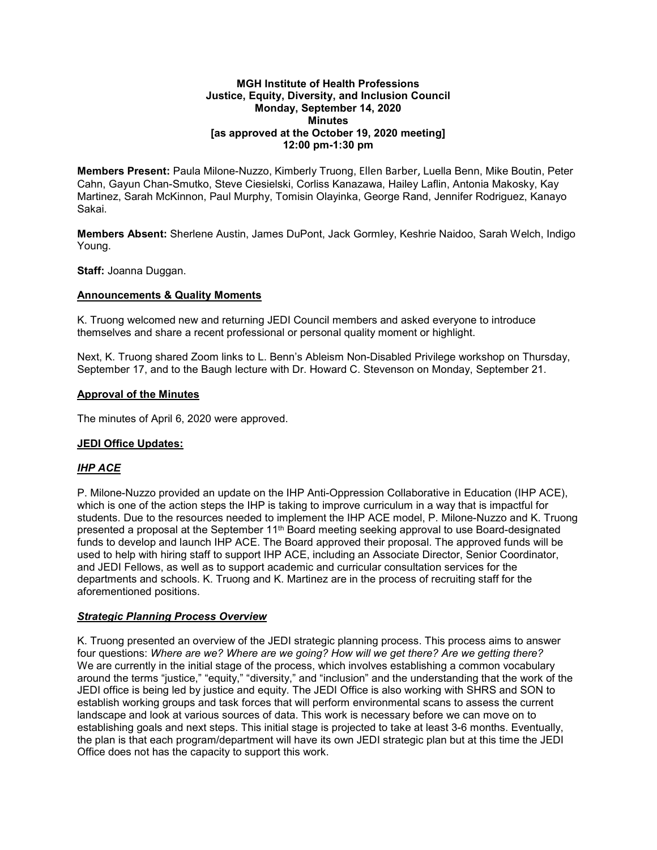#### **MGH Institute of Health Professions Justice, Equity, Diversity, and Inclusion Council Monday, September 14, 2020 Minutes [as approved at the October 19, 2020 meeting] 12:00 pm-1:30 pm**

**Members Present:** Paula Milone-Nuzzo, Kimberly Truong, Ellen Barber, Luella Benn, Mike Boutin, Peter Cahn, Gayun Chan-Smutko, Steve Ciesielski, Corliss Kanazawa, Hailey Laflin, Antonia Makosky, Kay Martinez, Sarah McKinnon, Paul Murphy, Tomisin Olayinka, George Rand, Jennifer Rodriguez, Kanayo Sakai.

**Members Absent:** Sherlene Austin, James DuPont, Jack Gormley, Keshrie Naidoo, Sarah Welch, Indigo Young.

**Staff:** Joanna Duggan.

## **Announcements & Quality Moments**

K. Truong welcomed new and returning JEDI Council members and asked everyone to introduce themselves and share a recent professional or personal quality moment or highlight.

Next, K. Truong shared Zoom links to L. Benn's Ableism Non-Disabled Privilege workshop on Thursday, September 17, and to the Baugh lecture with Dr. Howard C. Stevenson on Monday, September 21.

### **Approval of the Minutes**

The minutes of April 6, 2020 were approved.

### **JEDI Office Updates:**

# *IHP ACE*

P. Milone-Nuzzo provided an update on the IHP Anti-Oppression Collaborative in Education (IHP ACE), which is one of the action steps the IHP is taking to improve curriculum in a way that is impactful for students. Due to the resources needed to implement the IHP ACE model, P. Milone-Nuzzo and K. Truong presented a proposal at the September 11th Board meeting seeking approval to use Board-designated funds to develop and launch IHP ACE. The Board approved their proposal. The approved funds will be used to help with hiring staff to support IHP ACE, including an Associate Director, Senior Coordinator, and JEDI Fellows, as well as to support academic and curricular consultation services for the departments and schools. K. Truong and K. Martinez are in the process of recruiting staff for the aforementioned positions.

### *Strategic Planning Process Overview*

K. Truong presented an overview of the JEDI strategic planning process. This process aims to answer four questions: *Where are we? Where are we going? How will we get there? Are we getting there?* We are currently in the initial stage of the process, which involves establishing a common vocabulary around the terms "justice," "equity," "diversity," and "inclusion" and the understanding that the work of the JEDI office is being led by justice and equity. The JEDI Office is also working with SHRS and SON to establish working groups and task forces that will perform environmental scans to assess the current landscape and look at various sources of data. This work is necessary before we can move on to establishing goals and next steps. This initial stage is projected to take at least 3-6 months. Eventually, the plan is that each program/department will have its own JEDI strategic plan but at this time the JEDI Office does not has the capacity to support this work.